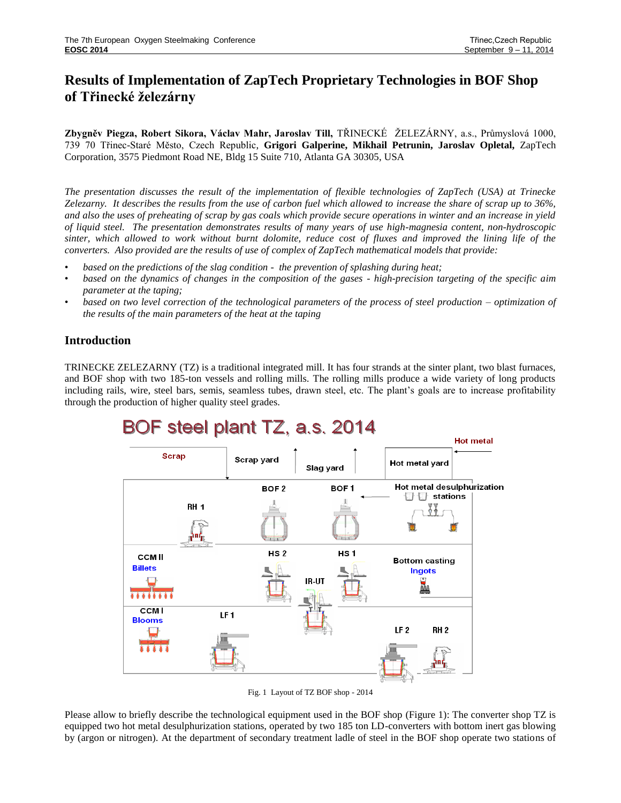# **Results of Implementation of ZapTech Proprietary Technologies in BOF Shop of Třinecké železárny**

**Zbygněv Piegza, Robert Sikora, Václav Mahr, Jaroslav Till,** TŘINECKÉ ŽELEZÁRNY, a.s., Průmyslová 1000, 739 70 Třinec-Staré Město, Czech Republic, **Grigori Galperine, Mikhail Petrunin, Jaroslav Opletal,** ZapTech Corporation, 3575 Piedmont Road NE, Bldg 15 Suite 710, Atlanta GA 30305, USA

*The presentation discusses the result of the implementation of flexible technologies of ZapTech (USA) at Trinecke Zelezarny. It describes the results from the use of carbon fuel which allowed to increase the share of scrap up to 36%, and also the uses of preheating of scrap by gas coals which provide secure operations in winter and an increase in yield of liquid steel. The presentation demonstrates results of many years of use high-magnesia content, non-hydroscopic sinter, which allowed to work without burnt dolomite, reduce cost of fluxes and improved the lining life of the converters. Also provided are the results of use of complex of ZapTech mathematical models that provide:* 

- *based on the predictions of the slag condition the prevention of splashing during heat;*
- *based on the dynamics of changes in the composition of the gases - high-precision targeting of the specific aim parameter at the taping;*
- *based on two level correction of the technological parameters of the process of steel production – optimization of the results of the main parameters of the heat at the taping*

# **Introduction**

TRINECKE ZELEZARNY (TZ) is a traditional integrated mill. It has four strands at the sinter plant, two blast furnaces, and BOF shop with two 185-ton vessels and rolling mills. The rolling mills produce a wide variety of long products including rails, wire, steel bars, semis, seamless tubes, drawn steel, etc. The plant's goals are to increase profitability through the production of higher quality steel grades.



Fig. 1 Layout of TZ BOF shop - 2014

Please allow to briefly describe the technological equipment used in the BOF shop (Figure 1): The converter shop TZ is equipped two hot metal desulphurization stations, operated by two 185 ton LD-converters with bottom inert gas blowing by (argon or nitrogen). At the department of secondary treatment ladle of steel in the BOF shop operate two stations of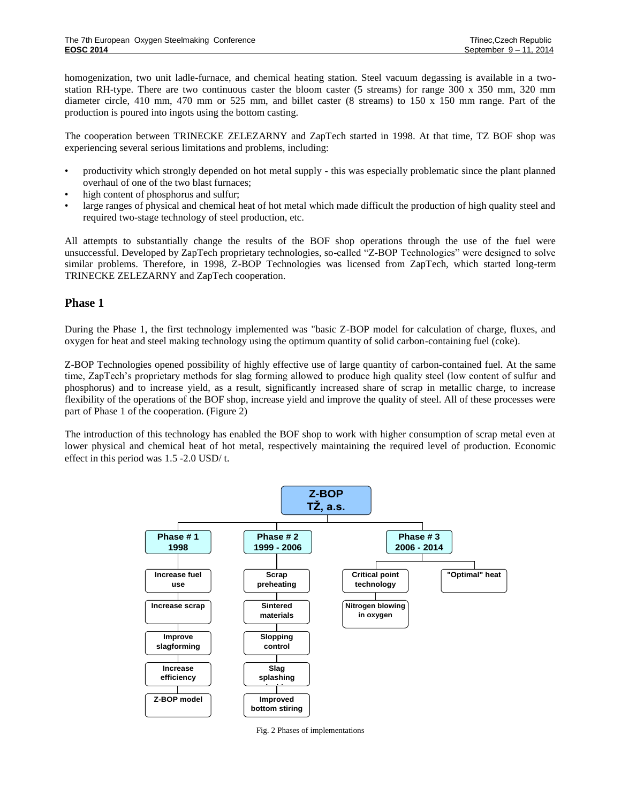homogenization, two unit ladle-furnace, and chemical heating station. Steel vacuum degassing is available in a twostation RH-type. There are two continuous caster the bloom caster (5 streams) for range 300 x 350 mm, 320 mm diameter circle, 410 mm, 470 mm or 525 mm, and billet caster (8 streams) to 150 x 150 mm range. Part of the production is poured into ingots using the bottom casting.

The cooperation between TRINECKE ZELEZARNY and ZapTech started in 1998. At that time, TZ BOF shop was experiencing several serious limitations and problems, including:

- productivity which strongly depended on hot metal supply this was especially problematic since the plant planned overhaul of one of the two blast furnaces;
- high content of phosphorus and sulfur;
- large ranges of physical and chemical heat of hot metal which made difficult the production of high quality steel and required two-stage technology of steel production, etc.

All attempts to substantially change the results of the BOF shop operations through the use of the fuel were unsuccessful. Developed by ZapTech proprietary technologies, so-called "Z-BOP Technologies" were designed to solve similar problems. Therefore, in 1998, Z-BOP Technologies was licensed from ZapTech, which started long-term TRINECKE ZELEZARNY and ZapTech cooperation.

#### **Phase 1**

During the Phase 1, the first technology implemented was "basic Z-BOP model for calculation of charge, fluxes, and oxygen for heat and steel making technology using the optimum quantity of solid carbon-containing fuel (coke).

Z-BOP Technologies opened possibility of highly effective use of large quantity of carbon-contained fuel. At the same time, ZapTech's proprietary methods for slag forming allowed to produce high quality steel (low content of sulfur and phosphorus) and to increase yield, as a result, significantly increased share of scrap in metallic charge, to increase flexibility of the operations of the BOF shop, increase yield and improve the quality of steel. All of these processes were part of Phase 1 of the cooperation. (Figure 2)

The introduction of this technology has enabled the BOF shop to work with higher consumption of scrap metal even at lower physical and chemical heat of hot metal, respectively maintaining the required level of production. Economic effect in this period was 1.5 -2.0 USD/ t.



Fig. 2 Phases of implementations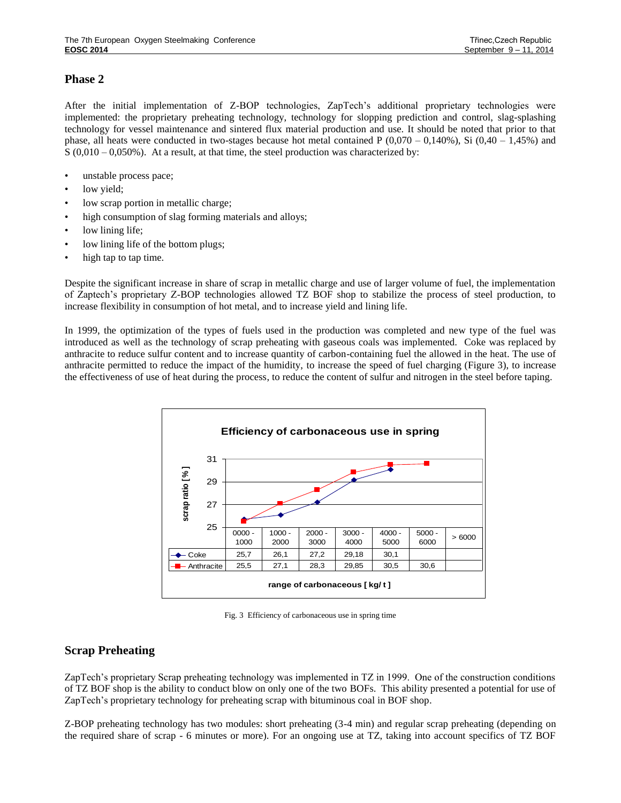#### **Phase 2**

After the initial implementation of Z-BOP technologies, ZapTech's additional proprietary technologies were implemented: the proprietary preheating technology, technology for slopping prediction and control, slag-splashing technology for vessel maintenance and sintered flux material production and use. It should be noted that prior to that phase, all heats were conducted in two-stages because hot metal contained P  $(0.070 - 0.140\%)$ , Si  $(0.40 - 1.45\%)$  and  $S(0,010-0,050\%)$ . At a result, at that time, the steel production was characterized by:

- unstable process pace;
- low yield;
- low scrap portion in metallic charge;
- high consumption of slag forming materials and alloys;
- low lining life:
- low lining life of the bottom plugs;
- high tap to tap time.

Despite the significant increase in share of scrap in metallic charge and use of larger volume of fuel, the implementation of Zaptech's proprietary Z-BOP technologies allowed TZ BOF shop to stabilize the process of steel production, to increase flexibility in consumption of hot metal, and to increase yield and lining life.

In 1999, the optimization of the types of fuels used in the production was completed and new type of the fuel was introduced as well as the technology of scrap preheating with gaseous coals was implemented. Coke was replaced by anthracite to reduce sulfur content and to increase quantity of carbon-containing fuel the allowed in the heat. The use of anthracite permitted to reduce the impact of the humidity, to increase the speed of fuel charging (Figure 3), to increase the effectiveness of use of heat during the process, to reduce the content of sulfur and nitrogen in the steel before taping.



Fig. 3 Efficiency of carbonaceous use in spring time

## **Scrap Preheating**

ZapTech's proprietary Scrap preheating technology was implemented in TZ in 1999. One of the construction conditions of TZ BOF shop is the ability to conduct blow on only one of the two BOFs. This ability presented a potential for use of ZapTech's proprietary technology for preheating scrap with bituminous coal in BOF shop.

Z-BOP preheating technology has two modules: short preheating (3-4 min) and regular scrap preheating (depending on the required share of scrap - 6 minutes or more). For an ongoing use at TZ, taking into account specifics of TZ BOF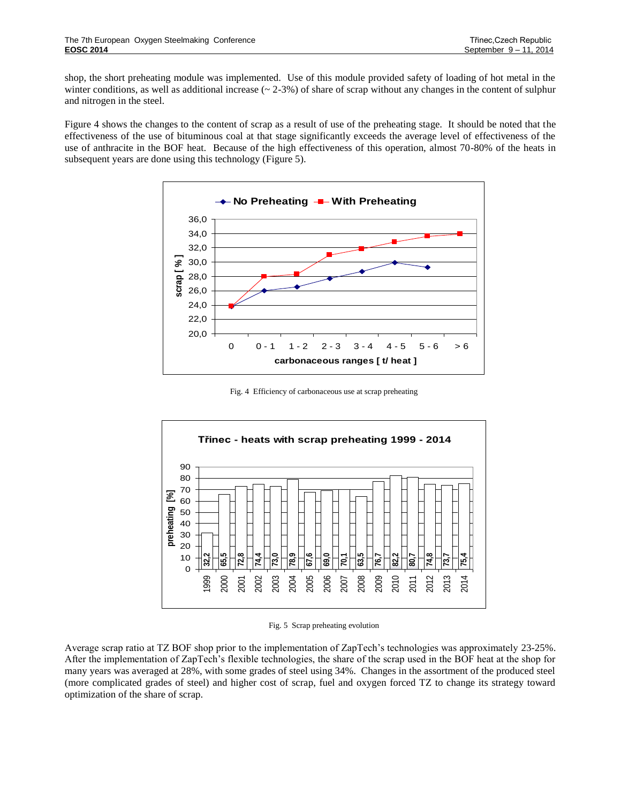shop, the short preheating module was implemented. Use of this module provided safety of loading of hot metal in the winter conditions, as well as additional increase  $(2-3\%)$  of share of scrap without any changes in the content of sulphur and nitrogen in the steel.

Figure 4 shows the changes to the content of scrap as a result of use of the preheating stage. It should be noted that the effectiveness of the use of bituminous coal at that stage significantly exceeds the average level of effectiveness of the use of anthracite in the BOF heat. Because of the high effectiveness of this operation, almost 70-80% of the heats in subsequent years are done using this technology (Figure 5).



Fig. 4 Efficiency of carbonaceous use at scrap preheating



Fig. 5 Scrap preheating evolution

Average scrap ratio at TZ BOF shop prior to the implementation of ZapTech's technologies was approximately 23-25%. After the implementation of ZapTech's flexible technologies, the share of the scrap used in the BOF heat at the shop for many years was averaged at 28%, with some grades of steel using 34%. Changes in the assortment of the produced steel (more complicated grades of steel) and higher cost of scrap, fuel and oxygen forced TZ to change its strategy toward optimization of the share of scrap.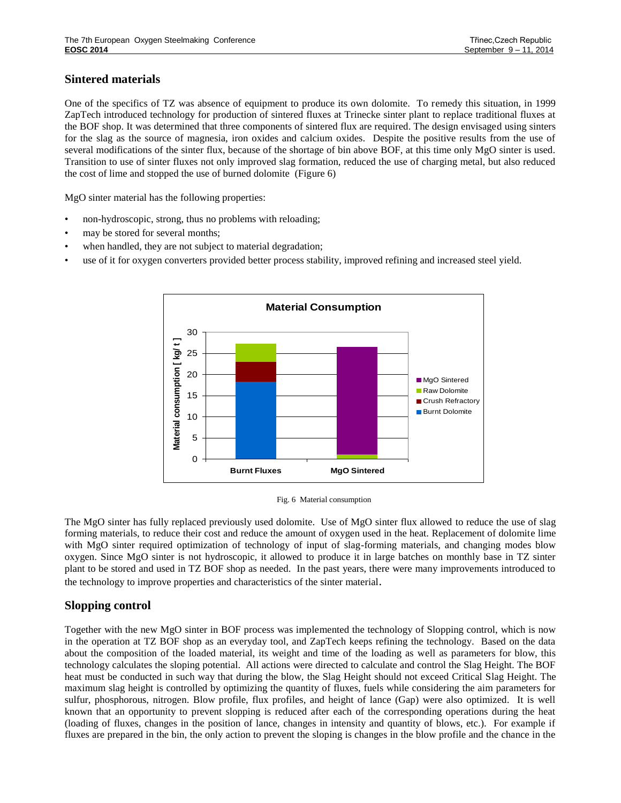## **Sintered materials**

One of the specifics of TZ was absence of equipment to produce its own dolomite. To remedy this situation, in 1999 ZapTech introduced technology for production of sintered fluxes at Trinecke sinter plant to replace traditional fluxes at the BOF shop. It was determined that three components of sintered flux are required. The design envisaged using sinters for the slag as the source of magnesia, iron oxides and calcium oxides. Despite the positive results from the use of several modifications of the sinter flux, because of the shortage of bin above BOF, at this time only MgO sinter is used. Transition to use of sinter fluxes not only improved slag formation, reduced the use of charging metal, but also reduced the cost of lime and stopped the use of burned dolomite (Figure 6)

MgO sinter material has the following properties:

- non-hydroscopic, strong, thus no problems with reloading;
- may be stored for several months;
- when handled, they are not subject to material degradation;
- use of it for oxygen converters provided better process stability, improved refining and increased steel yield.





The MgO sinter has fully replaced previously used dolomite. Use of MgO sinter flux allowed to reduce the use of slag forming materials, to reduce their cost and reduce the amount of oxygen used in the heat. Replacement of dolomite lime with MgO sinter required optimization of technology of input of slag-forming materials, and changing modes blow oxygen. Since MgO sinter is not hydroscopic, it allowed to produce it in large batches on monthly base in TZ sinter plant to be stored and used in TZ BOF shop as needed. In the past years, there were many improvements introduced to the technology to improve properties and characteristics of the sinter material.

#### **Slopping control**

Together with the new MgO sinter in BOF process was implemented the technology of Slopping control, which is now in the operation at TZ BOF shop as an everyday tool, and ZapTech keeps refining the technology. Based on the data about the composition of the loaded material, its weight and time of the loading as well as parameters for blow, this technology calculates the sloping potential. All actions were directed to calculate and control the Slag Height. The BOF heat must be conducted in such way that during the blow, the Slag Height should not exceed Critical Slag Height. The maximum slag height is controlled by optimizing the quantity of fluxes, fuels while considering the aim parameters for sulfur, phosphorous, nitrogen. Blow profile, flux profiles, and height of lance (Gap) were also optimized. It is well known that an opportunity to prevent slopping is reduced after each of the corresponding operations during the heat (loading of fluxes, changes in the position of lance, changes in intensity and quantity of blows, etc.). For example if fluxes are prepared in the bin, the only action to prevent the sloping is changes in the blow profile and the chance in the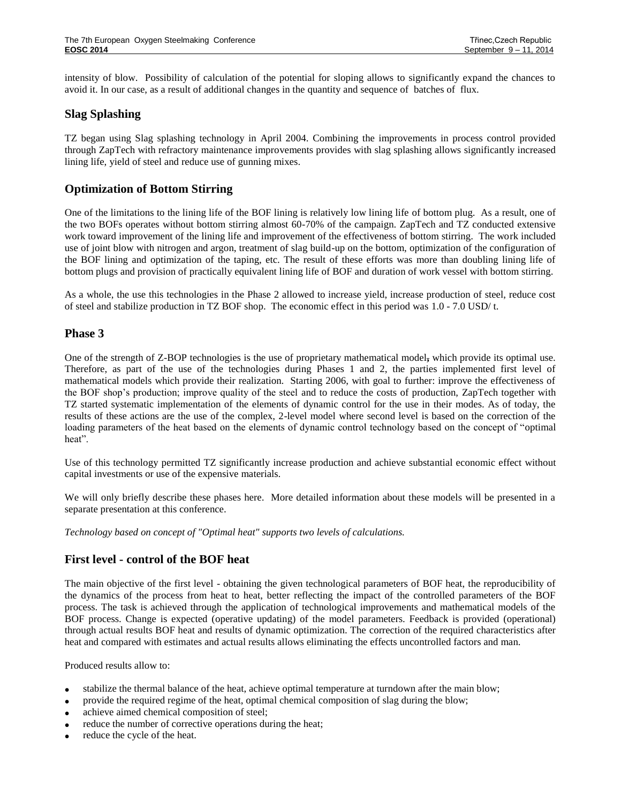intensity of blow. Possibility of calculation of the potential for sloping allows to significantly expand the chances to avoid it. In our case, as a result of additional changes in the quantity and sequence of batches of flux.

## **Slag Splashing**

TZ began using Slag splashing technology in April 2004. Combining the improvements in process control provided through ZapTech with refractory maintenance improvements provides with slag splashing allows significantly increased lining life, yield of steel and reduce use of gunning mixes.

# **Optimization of Bottom Stirring**

One of the limitations to the lining life of the BOF lining is relatively low lining life of bottom plug. As a result, one of the two BOFs operates without bottom stirring almost 60-70% of the campaign. ZapTech and TZ conducted extensive work toward improvement of the lining life and improvement of the effectiveness of bottom stirring. The work included use of joint blow with nitrogen and argon, treatment of slag build-up on the bottom, optimization of the configuration of the BOF lining and optimization of the taping, etc. The result of these efforts was more than doubling lining life of bottom plugs and provision of practically equivalent lining life of BOF and duration of work vessel with bottom stirring.

As a whole, the use this technologies in the Phase 2 allowed to increase yield, increase production of steel, reduce cost of steel and stabilize production in TZ BOF shop. The economic effect in this period was 1.0 - 7.0 USD/ t.

#### **Phase 3**

One of the strength of Z-BOP technologies is the use of proprietary mathematical model**,** which provide its optimal use. Therefore, as part of the use of the technologies during Phases 1 and 2, the parties implemented first level of mathematical models which provide their realization. Starting 2006, with goal to further: improve the effectiveness of the BOF shop's production; improve quality of the steel and to reduce the costs of production, ZapTech together with TZ started systematic implementation of the elements of dynamic control for the use in their modes. As of today, the results of these actions are the use of the complex, 2-level model where second level is based on the correction of the loading parameters of the heat based on the elements of dynamic control technology based on the concept of "optimal heat".

Use of this technology permitted TZ significantly increase production and achieve substantial economic effect without capital investments or use of the expensive materials.

We will only briefly describe these phases here. More detailed information about these models will be presented in a separate presentation at this conference.

*Technology based on concept of "Optimal heat" supports two levels of calculations.*

## **First level - control of the BOF heat**

The main objective of the first level - obtaining the given technological parameters of BOF heat, the reproducibility of the dynamics of the process from heat to heat, better reflecting the impact of the controlled parameters of the BOF process. The task is achieved through the application of technological improvements and mathematical models of the BOF process. Change is expected (operative updating) of the model parameters. Feedback is provided (operational) through actual results BOF heat and results of dynamic optimization. The correction of the required characteristics after heat and compared with estimates and actual results allows eliminating the effects uncontrolled factors and man.

Produced results allow to:

- stabilize the thermal balance of the heat, achieve optimal temperature at turndown after the main blow;
- provide the required regime of the heat, optimal chemical composition of slag during the blow;
- achieve aimed chemical composition of steel;
- reduce the number of corrective operations during the heat;
- reduce the cycle of the heat.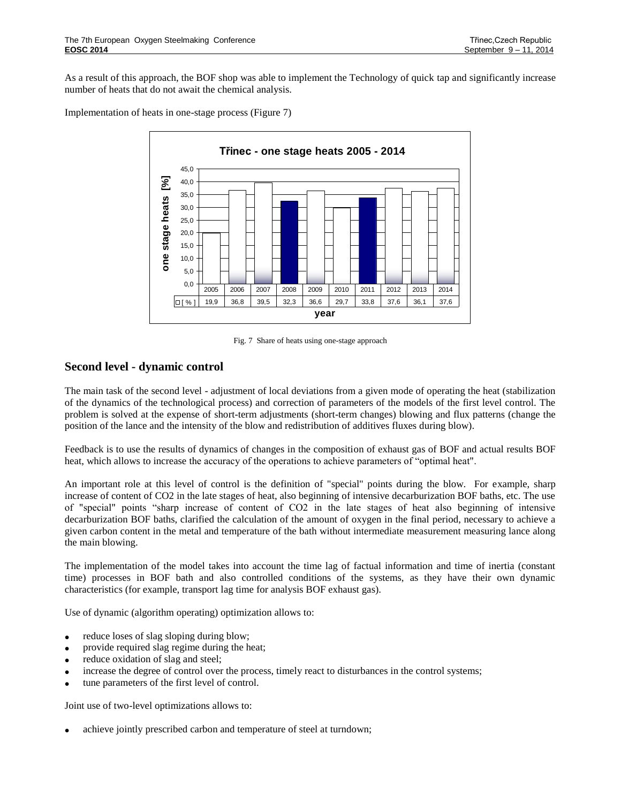As a result of this approach, the BOF shop was able to implement the Technology of quick tap and significantly increase number of heats that do not await the chemical analysis.

Implementation of heats in one-stage process (Figure 7)



Fig. 7 Share of heats using one-stage approach

## **Second level - dynamic control**

The main task of the second level - adjustment of local deviations from a given mode of operating the heat (stabilization of the dynamics of the technological process) and correction of parameters of the models of the first level control. The problem is solved at the expense of short-term adjustments (short-term changes) blowing and flux patterns (change the position of the lance and the intensity of the blow and redistribution of additives fluxes during blow).

Feedback is to use the results of dynamics of changes in the composition of exhaust gas of BOF and actual results BOF heat, which allows to increase the accuracy of the operations to achieve parameters of "optimal heat".

An important role at this level of control is the definition of "special" points during the blow. For example, sharp increase of content of CO2 in the late stages of heat, also beginning of intensive decarburization BOF baths, etc. The use of "special" points "sharp increase of content of CO2 in the late stages of heat also beginning of intensive decarburization BOF baths, clarified the calculation of the amount of oxygen in the final period, necessary to achieve a given carbon content in the metal and temperature of the bath without intermediate measurement measuring lance along the main blowing.

The implementation of the model takes into account the time lag of factual information and time of inertia (constant time) processes in BOF bath and also controlled conditions of the systems, as they have their own dynamic characteristics (for example, transport lag time for analysis BOF exhaust gas).

Use of dynamic (algorithm operating) optimization allows to:

- reduce loses of slag sloping during blow;
- provide required slag regime during the heat;
- reduce oxidation of slag and steel;
- increase the degree of control over the process, timely react to disturbances in the control systems;
- tune parameters of the first level of control.

Joint use of two-level optimizations allows to:

achieve jointly prescribed carbon and temperature of steel at turndown;